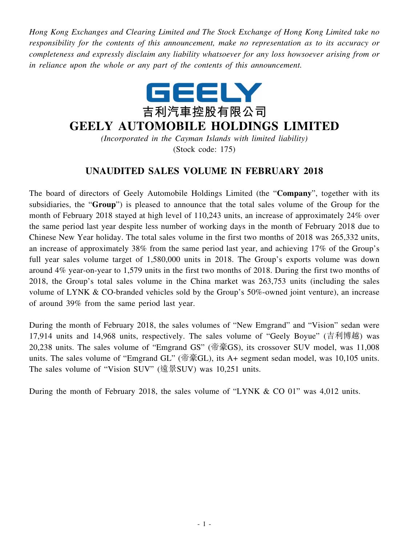*Hong Kong Exchanges and Clearing Limited and The Stock Exchange of Hong Kong Limited take no responsibility for the contents of this announcement, make no representation as to its accuracy or completeness and expressly disclaim any liability whatsoever for any loss howsoever arising from or in reliance upon the whole or any part of the contents of this announcement.*



## **GEELY AUTOMOBILE HOLDINGS LIMITED**

*(Incorporated in the Cayman Islands with limited liability)* (Stock code: 175)

## **UNAUDITED SALES VOLUME IN FEBRUARY 2018**

The board of directors of Geely Automobile Holdings Limited (the "**Company**", together with its subsidiaries, the "**Group**") is pleased to announce that the total sales volume of the Group for the month of February 2018 stayed at high level of 110,243 units, an increase of approximately 24% over the same period last year despite less number of working days in the month of February 2018 due to Chinese New Year holiday. The total sales volume in the first two months of 2018 was 265,332 units, an increase of approximately 38% from the same period last year, and achieving 17% of the Group's full year sales volume target of 1,580,000 units in 2018. The Group's exports volume was down around 4% year-on-year to 1,579 units in the first two months of 2018. During the first two months of 2018, the Group's total sales volume in the China market was 263,753 units (including the sales volume of LYNK & CO-branded vehicles sold by the Group's 50%-owned joint venture), an increase of around 39% from the same period last year.

During the month of February 2018, the sales volumes of "New Emgrand" and "Vision" sedan were 17,914 units and 14,968 units, respectively. The sales volume of "Geely Boyue" (吉利博越) was 20,238 units. The sales volume of "Emgrand GS" (帝豪GS), its crossover SUV model, was 11,008 units. The sales volume of "Emgrand GL" (帝豪GL), its A+ segment sedan model, was 10,105 units. The sales volume of "Vision SUV" (遠景SUV) was 10,251 units.

During the month of February 2018, the sales volume of "LYNK & CO 01" was 4,012 units.